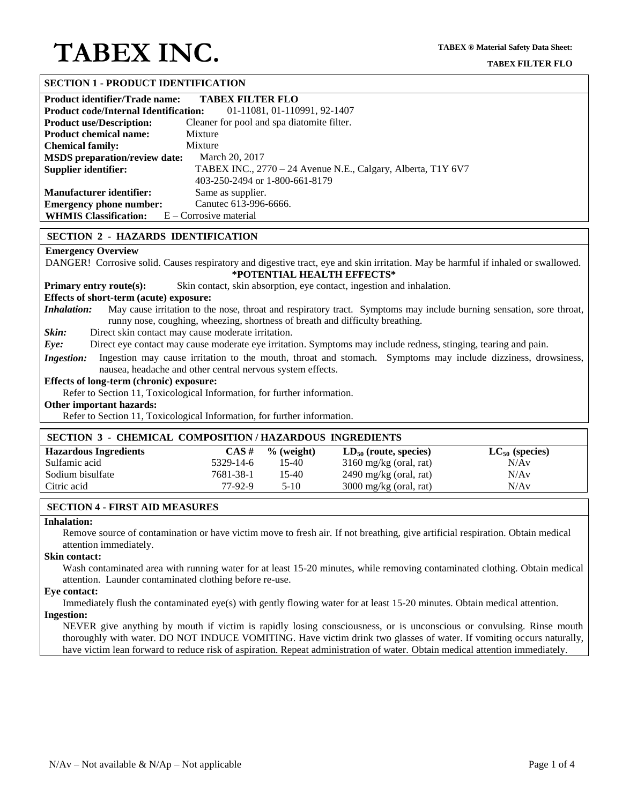## **SECTION 1 - PRODUCT IDENTIFICATION**

| Product identifier/Trade name:                                               | <b>TABEX FILTER FLO</b>                                      |  |  |  |
|------------------------------------------------------------------------------|--------------------------------------------------------------|--|--|--|
| 01-11081, 01-110991, 92-1407<br><b>Product code/Internal Identification:</b> |                                                              |  |  |  |
| <b>Product use/Description:</b>                                              | Cleaner for pool and spa diatomite filter.                   |  |  |  |
| <b>Product chemical name:</b>                                                | Mixture                                                      |  |  |  |
| <b>Chemical family:</b>                                                      | Mixture                                                      |  |  |  |
| <b>MSDS</b> preparation/review date:                                         | March 20, 2017                                               |  |  |  |
| Supplier identifier:                                                         | TABEX INC., 2770 – 24 Avenue N.E., Calgary, Alberta, T1Y 6V7 |  |  |  |
|                                                                              | 403-250-2494 or 1-800-661-8179                               |  |  |  |
| <b>Manufacturer identifier:</b>                                              | Same as supplier.                                            |  |  |  |
| <b>Emergency phone number:</b>                                               | Canutec 613-996-6666.                                        |  |  |  |
| <b>WHMIS Classification:</b> $E$ – Corrosive material                        |                                                              |  |  |  |

#### **SECTION 2 - HAZARDS IDENTIFICATION**

#### **Emergency Overview**

DANGER! Corrosive solid. Causes respiratory and digestive tract, eye and skin irritation. May be harmful if inhaled or swallowed. **\*POTENTIAL HEALTH EFFECTS\***

**Primary entry route(s):** Skin contact, skin absorption, eye contact, ingestion and inhalation.

#### **Effects of short-term (acute) exposure:**

*Inhalation:* May cause irritation to the nose, throat and respiratory tract. Symptoms may include burning sensation, sore throat, runny nose, coughing, wheezing, shortness of breath and difficulty breathing.

*Skin:* Direct skin contact may cause moderate irritation.

*Eye:* Direct eye contact may cause moderate eye irritation. Symptoms may include redness, stinging, tearing and pain.

*Ingestion:* Ingestion may cause irritation to the mouth, throat and stomach. Symptoms may include dizziness, drowsiness, nausea, headache and other central nervous system effects.

#### **Effects of long-term (chronic) exposure:**

Refer to Section 11, Toxicological Information, for further information.

#### **Other important hazards:**

Refer to Section 11, Toxicological Information, for further information.

#### **SECTION 3 - CHEMICAL COMPOSITION / HAZARDOUS INGREDIENTS**

| <b>Hazardous Ingredients</b> | CAS#      | $\%$ (weight) | $LD_{50}$ (route, species) | $LC_{50}$ (species) |
|------------------------------|-----------|---------------|----------------------------|---------------------|
| Sulfamic acid                | 5329-14-6 | 15-40         | $3160$ mg/kg (oral, rat)   | N/Av                |
| Sodium bisulfate             | 7681-38-1 | 15-40         | $2490$ mg/kg (oral, rat)   | N/Av                |
| Citric acid                  | 77-92-9   | 5-10          | $3000$ mg/kg (oral, rat)   | N/Av                |

#### **SECTION 4 - FIRST AID MEASURES**

#### **Inhalation:**

Remove source of contamination or have victim move to fresh air. If not breathing, give artificial respiration. Obtain medical attention immediately.

## **Skin contact:**

Wash contaminated area with running water for at least 15-20 minutes, while removing contaminated clothing. Obtain medical attention. Launder contaminated clothing before re-use.

#### **Eye contact:**

Immediately flush the contaminated eye(s) with gently flowing water for at least 15-20 minutes. Obtain medical attention. **Ingestion:**

NEVER give anything by mouth if victim is rapidly losing consciousness, or is unconscious or convulsing. Rinse mouth thoroughly with water. DO NOT INDUCE VOMITING. Have victim drink two glasses of water. If vomiting occurs naturally, have victim lean forward to reduce risk of aspiration. Repeat administration of water. Obtain medical attention immediately.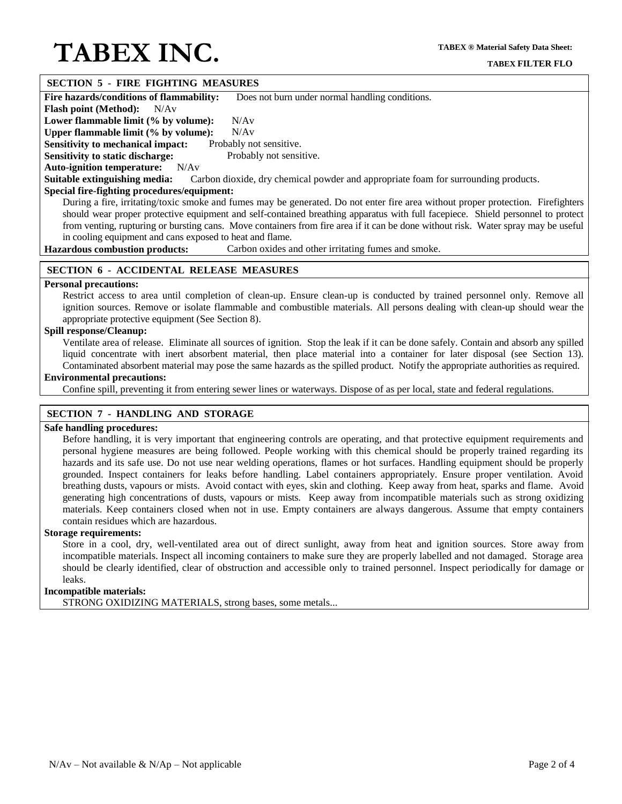#### **SECTION 5 - FIRE FIGHTING MEASURES**

**Fire hazards/conditions of flammability:** Does not burn under normal handling conditions.

**Flash point (Method):** N/Av

Lower flammable limit (% by volume): N/Av

**Upper flammable limit (% by volume):** N/Av

**Sensitivity to mechanical impact:** Probably not sensitive. **Sensitivity to static discharge:** Probably not sensitive.

**Auto-ignition temperature:** N/Av

**Suitable extinguishing media:** Carbon dioxide, dry chemical powder and appropriate foam for surrounding products.

### **Special fire-fighting procedures/equipment:**

During a fire, irritating/toxic smoke and fumes may be generated. Do not enter fire area without proper protection. Firefighters should wear proper protective equipment and self-contained breathing apparatus with full facepiece. Shield personnel to protect from venting, rupturing or bursting cans. Move containers from fire area if it can be done without risk. Water spray may be useful in cooling equipment and cans exposed to heat and flame.

**Hazardous combustion products:** Carbon oxides and other irritating fumes and smoke.

## **SECTION 6 - ACCIDENTAL RELEASE MEASURES**

#### **Personal precautions:**

Restrict access to area until completion of clean-up. Ensure clean-up is conducted by trained personnel only. Remove all ignition sources. Remove or isolate flammable and combustible materials. All persons dealing with clean-up should wear the appropriate protective equipment (See Section 8).

## **Spill response/Cleanup:**

Ventilate area of release. Eliminate all sources of ignition. Stop the leak if it can be done safely. Contain and absorb any spilled liquid concentrate with inert absorbent material, then place material into a container for later disposal (see Section 13). Contaminated absorbent material may pose the same hazards as the spilled product. Notify the appropriate authorities as required.

## **Environmental precautions:**

Confine spill, preventing it from entering sewer lines or waterways. Dispose of as per local, state and federal regulations.

## **SECTION 7 - HANDLING AND STORAGE**

#### **Safe handling procedures:**

Before handling, it is very important that engineering controls are operating, and that protective equipment requirements and personal hygiene measures are being followed. People working with this chemical should be properly trained regarding its hazards and its safe use. Do not use near welding operations, flames or hot surfaces. Handling equipment should be properly grounded. Inspect containers for leaks before handling. Label containers appropriately. Ensure proper ventilation. Avoid breathing dusts, vapours or mists. Avoid contact with eyes, skin and clothing. Keep away from heat, sparks and flame. Avoid generating high concentrations of dusts, vapours or mists. Keep away from incompatible materials such as strong oxidizing materials. Keep containers closed when not in use. Empty containers are always dangerous. Assume that empty containers contain residues which are hazardous.

#### **Storage requirements:**

Store in a cool, dry, well-ventilated area out of direct sunlight, away from heat and ignition sources. Store away from incompatible materials. Inspect all incoming containers to make sure they are properly labelled and not damaged. Storage area should be clearly identified, clear of obstruction and accessible only to trained personnel. Inspect periodically for damage or leaks.

## **Incompatible materials:**

STRONG OXIDIZING MATERIALS, strong bases, some metals...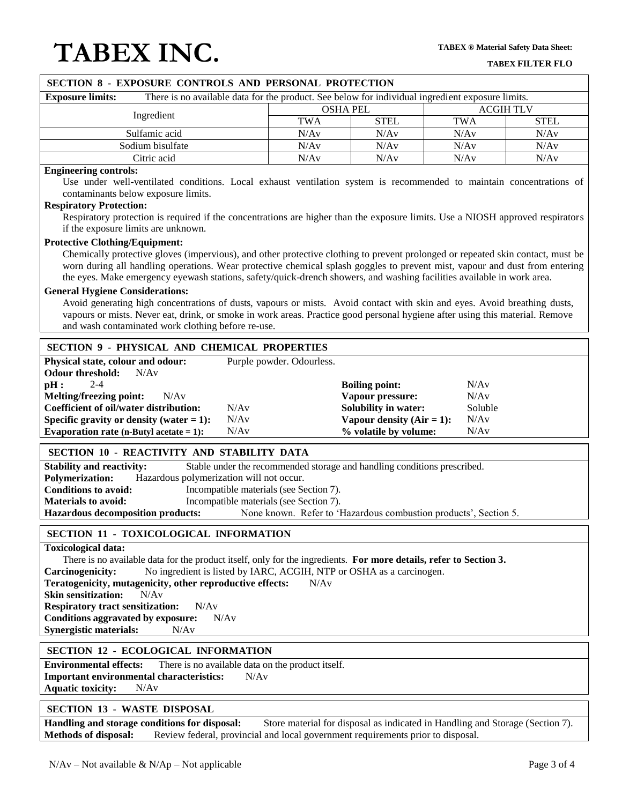| SECTION 8 - EXPOSURE CONTROLS AND PERSONAL PROTECTION                                                                                                                                                                                                                                                                                                                                                                                                                                                                                                                                                                                                                                                                                                                                                                                                                                                                                                                                                             |                           |                                                                                                                            |                                         |  |  |
|-------------------------------------------------------------------------------------------------------------------------------------------------------------------------------------------------------------------------------------------------------------------------------------------------------------------------------------------------------------------------------------------------------------------------------------------------------------------------------------------------------------------------------------------------------------------------------------------------------------------------------------------------------------------------------------------------------------------------------------------------------------------------------------------------------------------------------------------------------------------------------------------------------------------------------------------------------------------------------------------------------------------|---------------------------|----------------------------------------------------------------------------------------------------------------------------|-----------------------------------------|--|--|
| There is no available data for the product. See below for individual ingredient exposure limits.<br><b>Exposure limits:</b>                                                                                                                                                                                                                                                                                                                                                                                                                                                                                                                                                                                                                                                                                                                                                                                                                                                                                       |                           |                                                                                                                            |                                         |  |  |
| Ingredient                                                                                                                                                                                                                                                                                                                                                                                                                                                                                                                                                                                                                                                                                                                                                                                                                                                                                                                                                                                                        |                           | <b>OSHA PEL</b>                                                                                                            | <b>ACGIHTLV</b>                         |  |  |
|                                                                                                                                                                                                                                                                                                                                                                                                                                                                                                                                                                                                                                                                                                                                                                                                                                                                                                                                                                                                                   | <b>TWA</b>                | <b>STEL</b>                                                                                                                | <b>TWA</b><br><b>STEL</b>               |  |  |
| Sulfamic acid                                                                                                                                                                                                                                                                                                                                                                                                                                                                                                                                                                                                                                                                                                                                                                                                                                                                                                                                                                                                     | N/Av                      | N/Av                                                                                                                       | N/Av<br>N/Av                            |  |  |
| Sodium bisulfate                                                                                                                                                                                                                                                                                                                                                                                                                                                                                                                                                                                                                                                                                                                                                                                                                                                                                                                                                                                                  | N/Av                      | N/Av                                                                                                                       | N/Av<br>N/Av                            |  |  |
| Citric acid                                                                                                                                                                                                                                                                                                                                                                                                                                                                                                                                                                                                                                                                                                                                                                                                                                                                                                                                                                                                       | N/Av                      | N/Av                                                                                                                       | N/Av<br>N/Av                            |  |  |
| <b>Engineering controls:</b><br>Use under well-ventilated conditions. Local exhaust ventilation system is recommended to maintain concentrations of<br>contaminants below exposure limits.<br><b>Respiratory Protection:</b><br>Respiratory protection is required if the concentrations are higher than the exposure limits. Use a NIOSH approved respirators<br>if the exposure limits are unknown.<br><b>Protective Clothing/Equipment:</b><br>Chemically protective gloves (impervious), and other protective clothing to prevent prolonged or repeated skin contact, must be<br>worn during all handling operations. Wear protective chemical splash goggles to prevent mist, vapour and dust from entering<br>the eyes. Make emergency eyewash stations, safety/quick-drench showers, and washing facilities available in work area.<br><b>General Hygiene Considerations:</b><br>Avoid generating high concentrations of dusts, vapours or mists. Avoid contact with skin and eyes. Avoid breathing dusts, |                           |                                                                                                                            |                                         |  |  |
| vapours or mists. Never eat, drink, or smoke in work areas. Practice good personal hygiene after using this material. Remove<br>and wash contaminated work clothing before re-use.                                                                                                                                                                                                                                                                                                                                                                                                                                                                                                                                                                                                                                                                                                                                                                                                                                |                           |                                                                                                                            |                                         |  |  |
| <b>SECTION 9 - PHYSICAL AND CHEMICAL PROPERTIES</b>                                                                                                                                                                                                                                                                                                                                                                                                                                                                                                                                                                                                                                                                                                                                                                                                                                                                                                                                                               |                           |                                                                                                                            |                                         |  |  |
| Physical state, colour and odour:<br>N/Av<br><b>Odour threshold:</b><br>$2 - 4$<br>pH:<br><b>Melting/freezing point:</b><br>N/Av<br>N/Av<br>Coefficient of oil/water distribution:<br>N/Av<br>Specific gravity or density (water $= 1$ ):<br>Evaporation rate (n-Butyl acetate $= 1$ ):<br>N/Av                                                                                                                                                                                                                                                                                                                                                                                                                                                                                                                                                                                                                                                                                                                   | Purple powder. Odourless. | <b>Boiling point:</b><br>Vapour pressure:<br>Solubility in water:<br>Vapour density $(Air = 1)$ :<br>% volatile by volume: | N/Av<br>N/Av<br>Soluble<br>N/Av<br>N/Av |  |  |
| SECTION 10 - REACTIVITY AND STABILITY DATA                                                                                                                                                                                                                                                                                                                                                                                                                                                                                                                                                                                                                                                                                                                                                                                                                                                                                                                                                                        |                           |                                                                                                                            |                                         |  |  |
| Stable under the recommended storage and handling conditions prescribed.<br><b>Stability and reactivity:</b><br>Hazardous polymerization will not occur.<br><b>Polymerization:</b><br><b>Conditions to avoid:</b><br>Incompatible materials (see Section 7).<br><b>Materials to avoid:</b><br>Incompatible materials (see Section 7).<br>None known. Refer to 'Hazardous combustion products', Section 5.<br><b>Hazardous decomposition products:</b>                                                                                                                                                                                                                                                                                                                                                                                                                                                                                                                                                             |                           |                                                                                                                            |                                         |  |  |
| SECTION 11 - TOXICOLOGICAL INFORMATION                                                                                                                                                                                                                                                                                                                                                                                                                                                                                                                                                                                                                                                                                                                                                                                                                                                                                                                                                                            |                           |                                                                                                                            |                                         |  |  |
| <b>Toxicological data:</b><br>There is no available data for the product itself, only for the ingredients. For more details, refer to Section 3.<br>No ingredient is listed by IARC, ACGIH, NTP or OSHA as a carcinogen.<br>Carcinogenicity:<br>Teratogenicity, mutagenicity, other reproductive effects:<br>N/Av<br><b>Skin sensitization:</b><br>N/Av<br><b>Respiratory tract sensitization:</b><br>N/Av<br>Conditions aggravated by exposure:<br>N/Av<br><b>Synergistic materials:</b><br>N/Av                                                                                                                                                                                                                                                                                                                                                                                                                                                                                                                 |                           |                                                                                                                            |                                         |  |  |
| <b>SECTION 12 - ECOLOGICAL INFORMATION</b>                                                                                                                                                                                                                                                                                                                                                                                                                                                                                                                                                                                                                                                                                                                                                                                                                                                                                                                                                                        |                           |                                                                                                                            |                                         |  |  |
| <b>Environmental effects:</b><br>There is no available data on the product itself.<br><b>Important environmental characteristics:</b><br>N/Av<br><b>Aquatic toxicity:</b><br>N/Av                                                                                                                                                                                                                                                                                                                                                                                                                                                                                                                                                                                                                                                                                                                                                                                                                                 |                           |                                                                                                                            |                                         |  |  |

#### **SECTION 13 - WASTE DISPOSAL**

**Handling and storage conditions for disposal:** Store material for disposal as indicated in Handling and Storage (Section 7). **Methods of disposal:** Review federal, provincial and local government requirements prior to disposal.